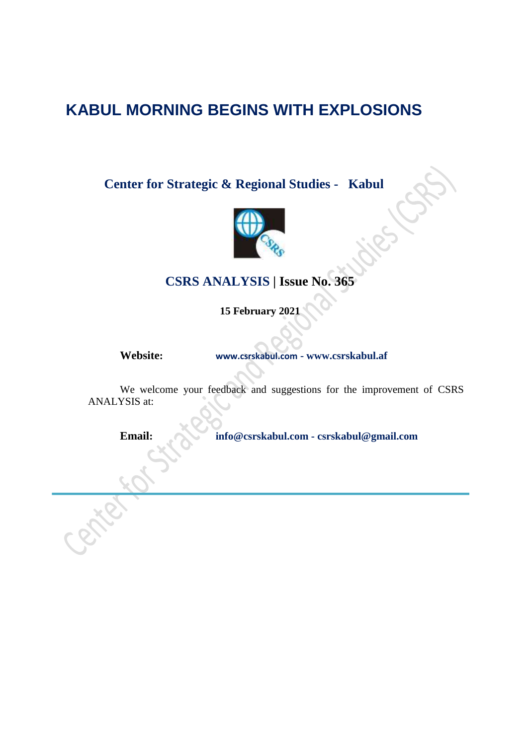# **KABUL MORNING BEGINS WITH EXPLOSIONS**

**Center for Strategic & Regional Studies - Kabul**



## **CSRS ANALYSIS | Issue No. 365**

**15 February 2021**

**Website: [www.csrskabul.com](http://www.csrskabul.com/) - www.csrskabul.af**

We welcome your feedback and suggestions for the improvement of CSRS ANALYSIS at:

**Email: [info@csrskabul.com](mailto:info@csrskabul.com) - [csrskabul@gmail.com](mailto:csrskabul@gmail.com)**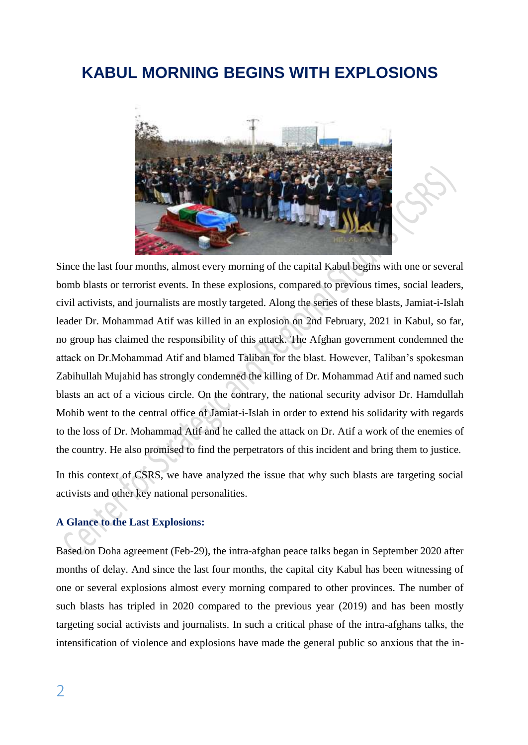# **KABUL MORNING BEGINS WITH EXPLOSIONS**



Since the last four months, almost every morning of the capital Kabul begins with one or several bomb blasts or terrorist events. In these explosions, compared to previous times, social leaders, civil activists, and journalists are mostly targeted. Along the series of these blasts, Jamiat-i-Islah leader Dr. Mohammad Atif was killed in an explosion on 2nd February, 2021 in Kabul, so far, no group has claimed the responsibility of this attack. The Afghan government condemned the attack on Dr.Mohammad Atif and blamed Taliban for the blast. However, Taliban's spokesman Zabihullah Mujahid has strongly condemned the killing of Dr. Mohammad Atif and named such blasts an act of a vicious circle. On the contrary, the national security advisor Dr. Hamdullah Mohib went to the central office of Jamiat-i-Islah in order to extend his solidarity with regards to the loss of Dr. Mohammad Atif and he called the attack on Dr. Atif a work of the enemies of the country. He also promised to find the perpetrators of this incident and bring them to justice.

In this context of CSRS, we have analyzed the issue that why such blasts are targeting social activists and other key national personalities.

### **A Glance to the Last Explosions:**

Based on Doha agreement (Feb-29), the intra-afghan peace talks began in September 2020 after months of delay. And since the last four months, the capital city Kabul has been witnessing of one or several explosions almost every morning compared to other provinces. The number of such blasts has tripled in 2020 compared to the previous year (2019) and has been mostly targeting social activists and journalists. In such a critical phase of the intra-afghans talks, the intensification of violence and explosions have made the general public so anxious that the in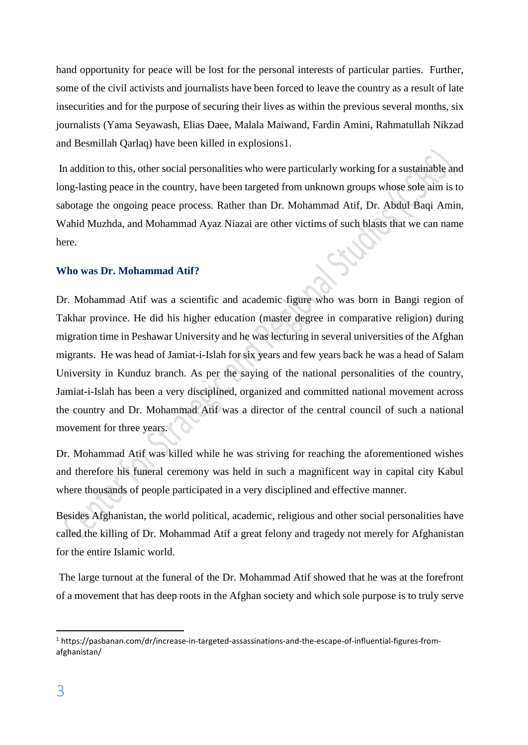hand opportunity for peace will be lost for the personal interests of particular parties. Further, some of the civil activists and journalists have been forced to leave the country as a result of late insecurities and for the purpose of securing their lives as within the previous several months, six journalists (Yama Seyawash, Elias Daee, Malala Maiwand, Fardin Amini, Rahmatullah Nikzad and Besmillah Qarlaq) have been killed in explosions1.

In addition to this, other social personalities who were particularly working for a sustainable and long-lasting peace in the country, have been targeted from unknown groups whose sole aim is to sabotage the ongoing peace process. Rather than Dr. Mohammad Atif, Dr. Abdul Baqi Amin, Wahid Muzhda, and Mohammad Ayaz Niazai are other victims of such blasts that we can name here.

#### **Who was Dr. Mohammad Atif?**

Dr. Mohammad Atif was a scientific and academic figure who was born in Bangi region of Takhar province. He did his higher education (master degree in comparative religion) during migration time in Peshawar University and he was lecturing in several universities of the Afghan migrants. He was head of Jamiat-i-Islah for six years and few years back he was a head of Salam University in Kunduz branch. As per the saying of the national personalities of the country, Jamiat-i-Islah has been a very disciplined, organized and committed national movement across the country and Dr. Mohammad Atif was a director of the central council of such a national movement for three years.

Dr. Mohammad Atif was killed while he was striving for reaching the aforementioned wishes and therefore his funeral ceremony was held in such a magnificent way in capital city Kabul where thousands of people participated in a very disciplined and effective manner.

Besides Afghanistan, the world political, academic, religious and other social personalities have called the killing of Dr. Mohammad Atif a great felony and tragedy not merely for Afghanistan for the entire Islamic world.

The large turnout at the funeral of the Dr. Mohammad Atif showed that he was at the forefront of a movement that has deep roots in the Afghan society and which sole purpose is to truly serve

**.** 

<sup>&</sup>lt;sup>1</sup> https://pasbanan.com/dr/increase-in-targeted-assassinations-and-the-escape-of-influential-figures-fromafghanistan/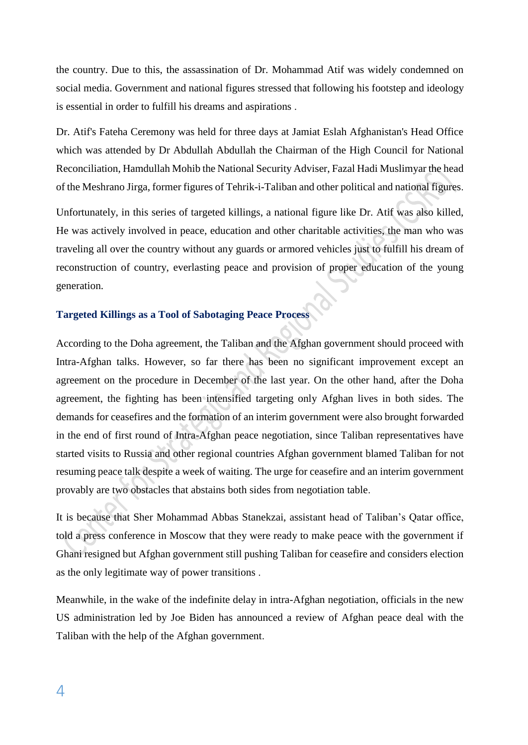the country. Due to this, the assassination of Dr. Mohammad Atif was widely condemned on social media. Government and national figures stressed that following his footstep and ideology is essential in order to fulfill his dreams and aspirations .

Dr. Atif's Fateha Ceremony was held for three days at Jamiat Eslah Afghanistan's Head Office which was attended by Dr Abdullah Abdullah the Chairman of the High Council for National Reconciliation, Hamdullah Mohib the National Security Adviser, Fazal Hadi Muslimyar the head of the Meshrano Jirga, former figures of Tehrik-i-Taliban and other political and national figures.

Unfortunately, in this series of targeted killings, a national figure like Dr. Atif was also killed, He was actively involved in peace, education and other charitable activities, the man who was traveling all over the country without any guards or armored vehicles just to fulfill his dream of reconstruction of country, everlasting peace and provision of proper education of the young generation.

### **Targeted Killings as a Tool of Sabotaging Peace Process**

According to the Doha agreement, the Taliban and the Afghan government should proceed with Intra-Afghan talks. However, so far there has been no significant improvement except an agreement on the procedure in December of the last year. On the other hand, after the Doha agreement, the fighting has been intensified targeting only Afghan lives in both sides. The demands for ceasefires and the formation of an interim government were also brought forwarded in the end of first round of Intra-Afghan peace negotiation, since Taliban representatives have started visits to Russia and other regional countries Afghan government blamed Taliban for not resuming peace talk despite a week of waiting. The urge for ceasefire and an interim government provably are two obstacles that abstains both sides from negotiation table.

It is because that Sher Mohammad Abbas Stanekzai, assistant head of Taliban's Qatar office, told a press conference in Moscow that they were ready to make peace with the government if Ghani resigned but Afghan government still pushing Taliban for ceasefire and considers election as the only legitimate way of power transitions .

Meanwhile, in the wake of the indefinite delay in intra-Afghan negotiation, officials in the new US administration led by Joe Biden has announced a review of Afghan peace deal with the Taliban with the help of the Afghan government.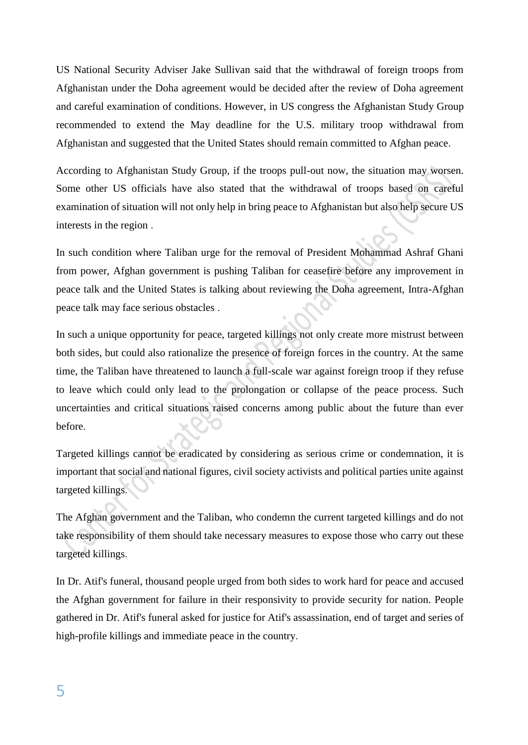US National Security Adviser Jake Sullivan said that the withdrawal of foreign troops from Afghanistan under the Doha agreement would be decided after the review of Doha agreement and careful examination of conditions. However, in US congress the Afghanistan Study Group recommended to extend the May deadline for the U.S. military troop withdrawal from Afghanistan and suggested that the United States should remain committed to Afghan peace.

According to Afghanistan Study Group, if the troops pull-out now, the situation may worsen. Some other US officials have also stated that the withdrawal of troops based on careful examination of situation will not only help in bring peace to Afghanistan but also help secure US interests in the region .

In such condition where Taliban urge for the removal of President Mohammad Ashraf Ghani from power, Afghan government is pushing Taliban for ceasefire before any improvement in peace talk and the United States is talking about reviewing the Doha agreement, Intra-Afghan peace talk may face serious obstacles .

In such a unique opportunity for peace, targeted killings not only create more mistrust between both sides, but could also rationalize the presence of foreign forces in the country. At the same time, the Taliban have threatened to launch a full-scale war against foreign troop if they refuse to leave which could only lead to the prolongation or collapse of the peace process. Such uncertainties and critical situations raised concerns among public about the future than ever before.

Targeted killings cannot be eradicated by considering as serious crime or condemnation, it is important that social and national figures, civil society activists and political parties unite against targeted killings.

The Afghan government and the Taliban, who condemn the current targeted killings and do not take responsibility of them should take necessary measures to expose those who carry out these targeted killings.

In Dr. Atif's funeral, thousand people urged from both sides to work hard for peace and accused the Afghan government for failure in their responsivity to provide security for nation. People gathered in Dr. Atif's funeral asked for justice for Atif's assassination, end of target and series of high-profile killings and immediate peace in the country.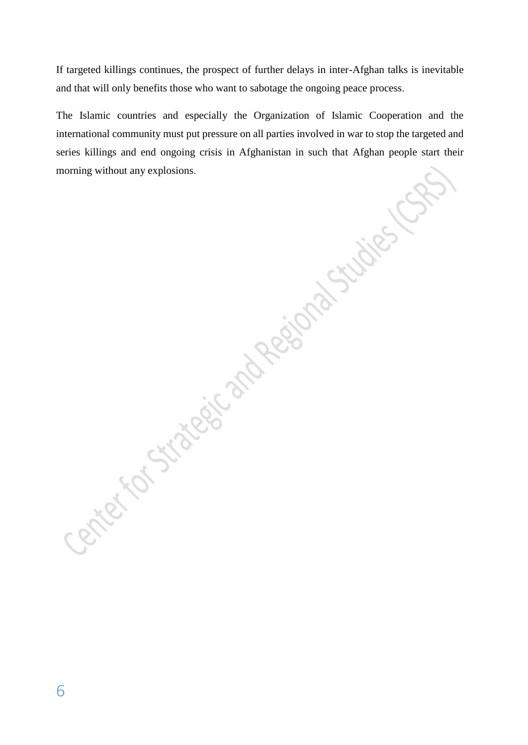If targeted killings continues, the prospect of further delays in inter-Afghan talks is inevitable and that will only benefits those who want to sabotage the ongoing peace process.

The Islamic countries and especially the Organization of Islamic Cooperation and the international community must put pressure on all parties involved in war to stop the targeted and series killings and end ongoing crisis in Afghanistan in such that Afghan people start their morning without any explosions.

6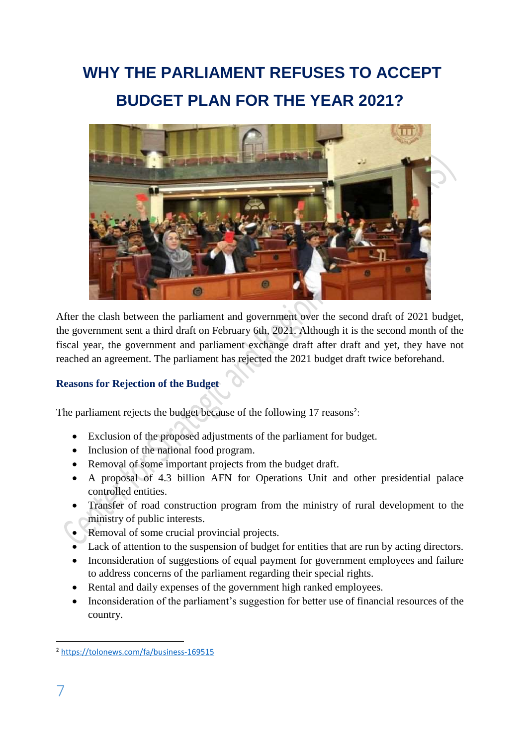# **WHY THE PARLIAMENT REFUSES TO ACCEPT BUDGET PLAN FOR THE YEAR 2021?**



After the clash between the parliament and government over the second draft of 2021 budget, the government sent a third draft on February 6th, 2021. Although it is the second month of the fiscal year, the government and parliament exchange draft after draft and yet, they have not reached an agreement. The parliament has rejected the 2021 budget draft twice beforehand.

### **Reasons for Rejection of the Budget**

The parliament rejects the budget because of the following 17 reasons<sup>2</sup>:

- Exclusion of the proposed adjustments of the parliament for budget.
- Inclusion of the national food program.
- Removal of some important projects from the budget draft.
- A proposal of 4.3 billion AFN for Operations Unit and other presidential palace controlled entities.
- Transfer of road construction program from the ministry of rural development to the ministry of public interests.
- Removal of some crucial provincial projects.
- Lack of attention to the suspension of budget for entities that are run by acting directors.
- Inconsideration of suggestions of equal payment for government employees and failure to address concerns of the parliament regarding their special rights.
- Rental and daily expenses of the government high ranked employees.
- Inconsideration of the parliament's suggestion for better use of financial resources of the country.

<sup>1</sup> <sup>2</sup> <https://tolonews.com/fa/business-169515>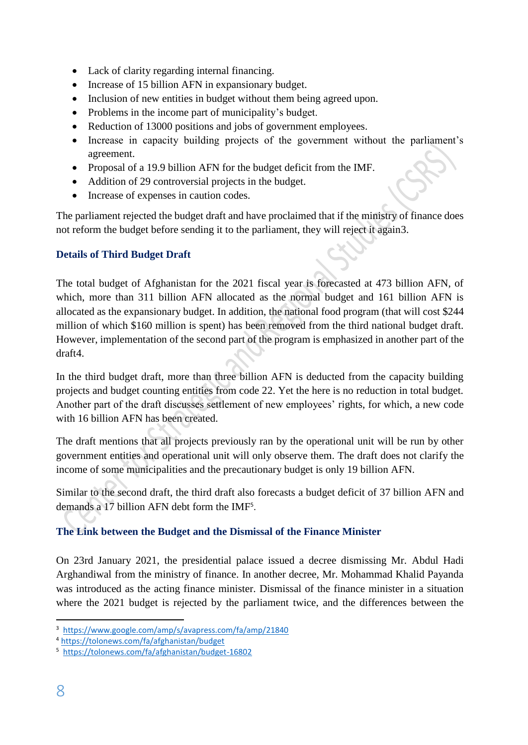- Lack of clarity regarding internal financing.
- Increase of 15 billion AFN in expansionary budget.
- Inclusion of new entities in budget without them being agreed upon.
- Problems in the income part of municipality's budget.
- Reduction of 13000 positions and jobs of government employees.
- Increase in capacity building projects of the government without the parliament's agreement.
- Proposal of a 19.9 billion AFN for the budget deficit from the IMF.
- Addition of 29 controversial projects in the budget.
- Increase of expenses in caution codes.

The parliament rejected the budget draft and have proclaimed that if the ministry of finance does not reform the budget before sending it to the parliament, they will reject it again3.

## **Details of Third Budget Draft**

The total budget of Afghanistan for the 2021 fiscal year is forecasted at 473 billion AFN, of which, more than 311 billion AFN allocated as the normal budget and 161 billion AFN is allocated as the expansionary budget. In addition, the national food program (that will cost \$244 million of which \$160 million is spent) has been removed from the third national budget draft. However, implementation of the second part of the program is emphasized in another part of the draft4.

In the third budget draft, more than three billion AFN is deducted from the capacity building projects and budget counting entities from code 22. Yet the here is no reduction in total budget. Another part of the draft discusses settlement of new employees' rights, for which, a new code with 16 billion AFN has been created.

The draft mentions that all projects previously ran by the operational unit will be run by other government entities and operational unit will only observe them. The draft does not clarify the income of some municipalities and the precautionary budget is only 19 billion AFN.

Similar to the second draft, the third draft also forecasts a budget deficit of 37 billion AFN and demands a 17 billion AFN debt form the IMF<sup>5</sup> .

## **The Link between the Budget and the Dismissal of the Finance Minister**

On 23rd January 2021, the presidential palace issued a decree dismissing Mr. Abdul Hadi Arghandiwal from the ministry of finance. In another decree, Mr. Mohammad Khalid Payanda was introduced as the acting finance minister. Dismissal of the finance minister in a situation where the 2021 budget is rejected by the parliament twice, and the differences between the

**<sup>.</sup>** 3 <https://www.google.com/amp/s/avapress.com/fa/amp/21840>

<sup>4</sup> <https://tolonews.com/fa/afghanistan/budget>

<sup>5</sup> <https://tolonews.com/fa/afghanistan/budget-16802>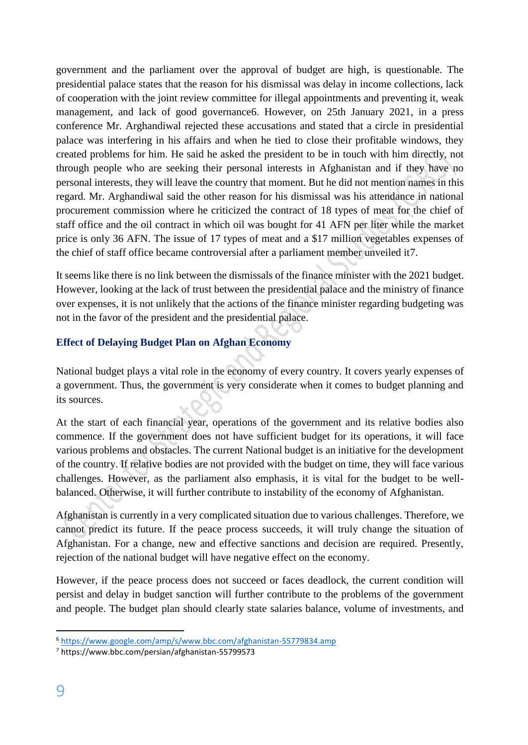government and the parliament over the approval of budget are high, is questionable. The presidential palace states that the reason for his dismissal was delay in income collections, lack of cooperation with the joint review committee for illegal appointments and preventing it, weak management, and lack of good governance6. However, on 25th January 2021, in a press conference Mr. Arghandiwal rejected these accusations and stated that a circle in presidential palace was interfering in his affairs and when he tied to close their profitable windows, they created problems for him. He said he asked the president to be in touch with him directly, not through people who are seeking their personal interests in Afghanistan and if they have no personal interests, they will leave the country that moment. But he did not mention names in this regard. Mr. Arghandiwal said the other reason for his dismissal was his attendance in national procurement commission where he criticized the contract of 18 types of meat for the chief of staff office and the oil contract in which oil was bought for 41 AFN per liter while the market price is only 36 AFN. The issue of 17 types of meat and a \$17 million vegetables expenses of the chief of staff office became controversial after a parliament member unveiled it7.

It seems like there is no link between the dismissals of the finance minister with the 2021 budget. However, looking at the lack of trust between the presidential palace and the ministry of finance over expenses, it is not unlikely that the actions of the finance minister regarding budgeting was not in the favor of the president and the presidential palace.

### **Effect of Delaying Budget Plan on Afghan Economy**

National budget plays a vital role in the economy of every country. It covers yearly expenses of a government. Thus, the government is very considerate when it comes to budget planning and its sources.

At the start of each financial year, operations of the government and its relative bodies also commence. If the government does not have sufficient budget for its operations, it will face various problems and obstacles. The current National budget is an initiative for the development of the country. If relative bodies are not provided with the budget on time, they will face various challenges. However, as the parliament also emphasis, it is vital for the budget to be wellbalanced. Otherwise, it will further contribute to instability of the economy of Afghanistan.

Afghanistan is currently in a very complicated situation due to various challenges. Therefore, we cannot predict its future. If the peace process succeeds, it will truly change the situation of Afghanistan. For a change, new and effective sanctions and decision are required. Presently, rejection of the national budget will have negative effect on the economy.

However, if the peace process does not succeed or faces deadlock, the current condition will persist and delay in budget sanction will further contribute to the problems of the government and people. The budget plan should clearly state salaries balance, volume of investments, and

**.** 

<sup>6</sup> <https://www.google.com/amp/s/www.bbc.com/afghanistan-55779834.amp>

<sup>7</sup> https://www.bbc.com/persian/afghanistan-55799573